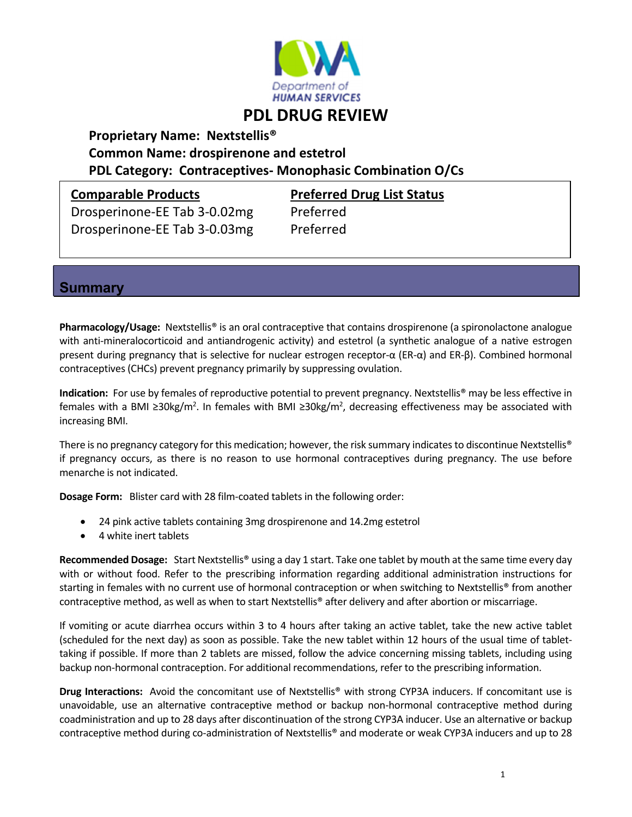

# **PDL DRUG REVIEW**

## **Proprietary Name: Nextstellis® Common Name: drospirenone and estetrol PDL Category: Contraceptives‐ Monophasic Combination O/Cs**

Drosperinone‐EE Tab 3‐0.02mg Preferred Drosperinone‐EE Tab 3‐0.03mg Preferred

**Comparable Products Preferred Drug List Status**

#### **Summary**

**Pharmacology/Usage:** Nextstellis® is an oral contraceptive that contains drospirenone (a spironolactone analogue with anti-mineralocorticoid and antiandrogenic activity) and estetrol (a synthetic analogue of a native estrogen present during pregnancy that is selective for nuclear estrogen receptor‐α (ER‐α) and ER‐β). Combined hormonal contraceptives(CHCs) prevent pregnancy primarily by suppressing ovulation.

**Indication:** For use by females of reproductive potential to prevent pregnancy. Nextstellis<sup>®</sup> may be less effective in females with a BMI ≥30kg/m<sup>2</sup>. In females with BMI ≥30kg/m<sup>2</sup>, decreasing effectiveness may be associated with increasing BMI.

There is no pregnancy category for this medication; however, the risk summary indicates to discontinue Nextstellis® if pregnancy occurs, as there is no reason to use hormonal contraceptives during pregnancy. The use before menarche is not indicated.

**Dosage Form:** Blister card with 28 film‐coated tablets in the following order:

- 24 pink active tablets containing 3mg drospirenone and 14.2mg estetrol
- 4 white inert tablets

**Recommended Dosage:** Start Nextstellis® using a day 1 start. Take one tablet by mouth at the same time every day with or without food. Refer to the prescribing information regarding additional administration instructions for starting in females with no current use of hormonal contraception or when switching to Nextstellis® from another contraceptive method, as well as when to start Nextstellis® after delivery and after abortion or miscarriage.

If vomiting or acute diarrhea occurs within 3 to 4 hours after taking an active tablet, take the new active tablet (scheduled for the next day) as soon as possible. Take the new tablet within 12 hours of the usual time of tablet‐ taking if possible. If more than 2 tablets are missed, follow the advice concerning missing tablets, including using backup non‐hormonal contraception. For additional recommendations, refer to the prescribing information.

**Drug Interactions:** Avoid the concomitant use of Nextstellis® with strong CYP3A inducers. If concomitant use is unavoidable, use an alternative contraceptive method or backup non‐hormonal contraceptive method during coadministration and up to 28 days after discontinuation of the strong CYP3A inducer. Use an alternative or backup contraceptive method during co‐administration of Nextstellis® and moderate or weak CYP3A inducers and up to 28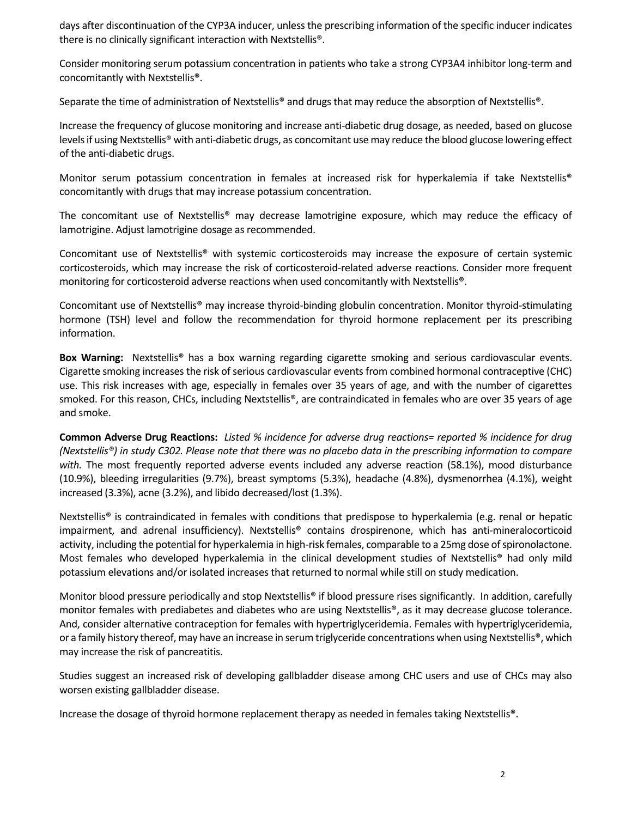days after discontinuation of the CYP3A inducer, unless the prescribing information of the specific inducer indicates there is no clinically significant interaction with Nextstellis®.

Consider monitoring serum potassium concentration in patients who take a strong CYP3A4 inhibitor long‐term and concomitantly with Nextstellis®.

Separate the time of administration of Nextstellis® and drugs that may reduce the absorption of Nextstellis®.

Increase the frequency of glucose monitoring and increase anti‐diabetic drug dosage, as needed, based on glucose levels if using Nextstellis® with anti-diabetic drugs, as concomitant use may reduce the blood glucose lowering effect of the anti‐diabetic drugs.

Monitor serum potassium concentration in females at increased risk for hyperkalemia if take Nextstellis® concomitantly with drugs that may increase potassium concentration.

The concomitant use of Nextstellis® may decrease lamotrigine exposure, which may reduce the efficacy of lamotrigine. Adjust lamotrigine dosage as recommended.

Concomitant use of Nextstellis® with systemic corticosteroids may increase the exposure of certain systemic corticosteroids, which may increase the risk of corticosteroid‐related adverse reactions. Consider more frequent monitoring for corticosteroid adverse reactions when used concomitantly with Nextstellis®.

Concomitant use of Nextstellis® may increase thyroid‐binding globulin concentration. Monitor thyroid‐stimulating hormone (TSH) level and follow the recommendation for thyroid hormone replacement per its prescribing information.

**Box Warning:** Nextstellis® has a box warning regarding cigarette smoking and serious cardiovascular events. Cigarette smoking increases the risk of serious cardiovascular events from combined hormonal contraceptive (CHC) use. This risk increases with age, especially in females over 35 years of age, and with the number of cigarettes smoked. For this reason, CHCs, including Nextstellis®, are contraindicated in females who are over 35 years of age and smoke.

Common Adverse Drug Reactions: Listed % incidence for adverse drug reactions= reported % incidence for drug (Nextstellis®) in study C302. Please note that there was no placebo data in the prescribing information to compare *with.* The most frequently reported adverse events included any adverse reaction (58.1%), mood disturbance (10.9%), bleeding irregularities (9.7%), breast symptoms (5.3%), headache (4.8%), dysmenorrhea (4.1%), weight increased (3.3%), acne (3.2%), and libido decreased/lost (1.3%).

Nextstellis<sup>®</sup> is contraindicated in females with conditions that predispose to hyperkalemia (e.g. renal or hepatic impairment, and adrenal insufficiency). Nextstellis<sup>®</sup> contains drospirenone, which has anti-mineralocorticoid activity, including the potential for hyperkalemia in high-risk females, comparable to a 25mg dose of spironolactone. Most females who developed hyperkalemia in the clinical development studies of Nextstellis® had only mild potassium elevations and/or isolated increases that returned to normal while still on study medication.

Monitor blood pressure periodically and stop Nextstellis® if blood pressure rises significantly. In addition, carefully monitor females with prediabetes and diabetes who are using Nextstellis®, as it may decrease glucose tolerance. And, consider alternative contraception for females with hypertriglyceridemia. Females with hypertriglyceridemia, or a family history thereof, may have an increase in serum triglyceride concentrations when using Nextstellis®, which may increase the risk of pancreatitis.

Studies suggest an increased risk of developing gallbladder disease among CHC users and use of CHCs may also worsen existing gallbladder disease.

Increase the dosage of thyroid hormone replacement therapy as needed in females taking Nextstellis®.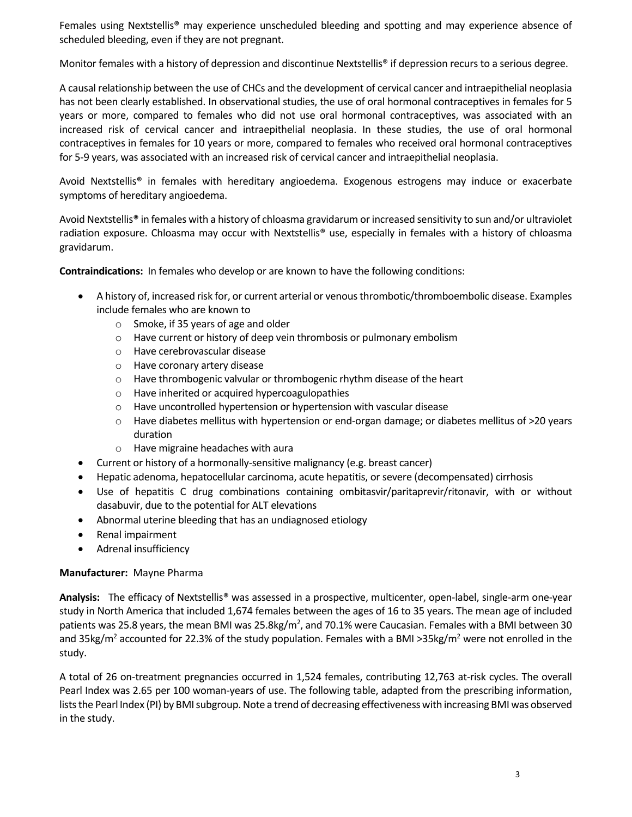Females using Nextstellis® may experience unscheduled bleeding and spotting and may experience absence of scheduled bleeding, even if they are not pregnant.

Monitor females with a history of depression and discontinue Nextstellis® if depression recurs to a serious degree.

A causal relationship between the use of CHCs and the development of cervical cancer and intraepithelial neoplasia has not been clearly established. In observational studies, the use of oral hormonal contraceptives in females for 5 years or more, compared to females who did not use oral hormonal contraceptives, was associated with an increased risk of cervical cancer and intraepithelial neoplasia. In these studies, the use of oral hormonal contraceptives in females for 10 years or more, compared to females who received oral hormonal contraceptives for 5‐9 years, was associated with an increased risk of cervical cancer and intraepithelial neoplasia.

Avoid Nextstellis® in females with hereditary angioedema. Exogenous estrogens may induce or exacerbate symptoms of hereditary angioedema.

Avoid Nextstellis® in females with a history of chloasma gravidarum or increased sensitivity to sun and/or ultraviolet radiation exposure. Chloasma may occur with Nextstellis® use, especially in females with a history of chloasma gravidarum.

**Contraindications:** In females who develop or are known to have the following conditions:

- A history of, increased risk for, or current arterial or venousthrombotic/thromboembolic disease. Examples include females who are known to
	- o Smoke, if 35 years of age and older
	- o Have current or history of deep vein thrombosis or pulmonary embolism
	- o Have cerebrovascular disease
	- o Have coronary artery disease
	- o Have thrombogenic valvular or thrombogenic rhythm disease of the heart
	- o Have inherited or acquired hypercoagulopathies
	- o Have uncontrolled hypertension or hypertension with vascular disease
	- o Have diabetes mellitus with hypertension or end‐organ damage; or diabetes mellitus of >20 years duration
	- o Have migraine headaches with aura
- Current or history of a hormonally-sensitive malignancy (e.g. breast cancer)
- Hepatic adenoma, hepatocellular carcinoma, acute hepatitis, or severe (decompensated) cirrhosis
- Use of hepatitis C drug combinations containing ombitasvir/paritaprevir/ritonavir, with or without dasabuvir, due to the potential for ALT elevations
- Abnormal uterine bleeding that has an undiagnosed etiology
- Renal impairment
- Adrenal insufficiency

#### **Manufacturer:** Mayne Pharma

**Analysis:**  The efficacy of Nextstellis® was assessed in a prospective, multicenter, open‐label, single‐arm one‐year study in North America that included 1,674 females between the ages of 16 to 35 years. The mean age of included patients was 25.8 years, the mean BMI was 25.8kg/m<sup>2</sup>, and 70.1% were Caucasian. Females with a BMI between 30 and 35kg/m<sup>2</sup> accounted for 22.3% of the study population. Females with a BMI >35kg/m<sup>2</sup> were not enrolled in the study.

A total of 26 on‐treatment pregnancies occurred in 1,524 females, contributing 12,763 at‐risk cycles. The overall Pearl Index was 2.65 per 100 woman‐years of use. The following table, adapted from the prescribing information, lists the Pearl Index (PI) by BMI subgroup. Note a trend of decreasing effectiveness with increasing BMI was observed in the study.